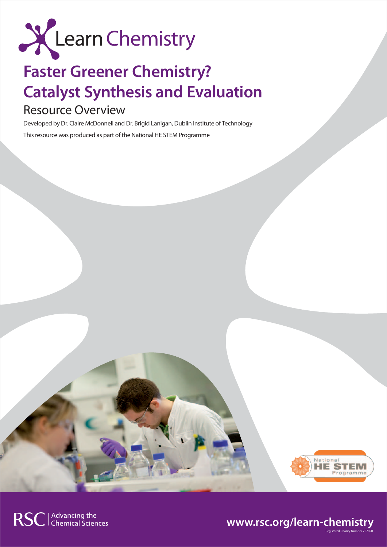

# **Faster Greener Chemistry? Catalyst Synthesis and Evaluation**

# Resource Overview

Developed by Dr. Claire McDonnell and Dr. Brigid Lanigan, Dublin Institute of Technology This resource was produced as part of the National HE STEM Programme



Registered Charity Number 207890

# **www.rsc.org/learn-chemistry**

RSC | Advancing the<br>
Chemical Sciences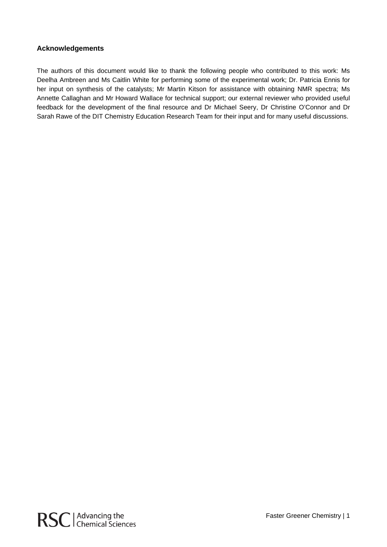#### **Acknowledgements**

The authors of this document would like to thank the following people who contributed to this work: Ms Deelha Ambreen and Ms Caitlin White for performing some of the experimental work; Dr. Patricia Ennis for her input on synthesis of the catalysts; Mr Martin Kitson for assistance with obtaining NMR spectra; Ms Annette Callaghan and Mr Howard Wallace for technical support; our external reviewer who provided useful feedback for the development of the final resource and Dr Michael Seery, Dr Christine O'Connor and Dr Sarah Rawe of the DIT Chemistry Education Research Team for their input and for many useful discussions.

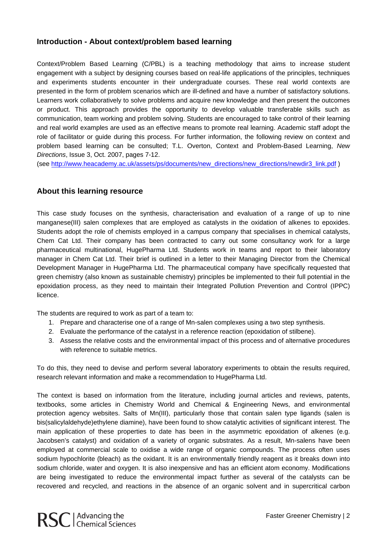#### **Introduction - About context/problem based learning**

Context/Problem Based Learning (C/PBL) is a teaching methodology that aims to increase student engagement with a subject by designing courses based on real-life applications of the principles, techniques and experiments students encounter in their undergraduate courses. These real world contexts are presented in the form of problem scenarios which are ill-defined and have a number of satisfactory solutions. Learners work collaboratively to solve problems and acquire new knowledge and then present the outcomes or product. This approach provides the opportunity to develop valuable transferable skills such as communication, team working and problem solving. Students are encouraged to take control of their learning and real world examples are used as an effective means to promote real learning. Academic staff adopt the role of facilitator or guide during this process. For further information, the following review on context and problem based learning can be consulted; T.L. Overton, Context and Problem-Based Learning, *New Directions*, Issue 3, Oct. 2007, pages 7-12.

(see http://www.heacademy.ac.uk/assets/ps/documents/new\_directions/new\_directions/newdir3\_link.pdf )

#### **About this learning resource**

This case study focuses on the synthesis, characterisation and evaluation of a range of up to nine manganese(III) salen complexes that are employed as catalysts in the oxidation of alkenes to epoxides. Students adopt the role of chemists employed in a campus company that specialises in chemical catalysts, Chem Cat Ltd. Their company has been contracted to carry out some consultancy work for a large pharmaceutical multinational, HugePharma Ltd. Students work in teams and report to their laboratory manager in Chem Cat Ltd. Their brief is outlined in a letter to their Managing Director from the Chemical Development Manager in HugePharma Ltd. The pharmaceutical company have specifically requested that green chemistry (also known as sustainable chemistry) principles be implemented to their full potential in the epoxidation process, as they need to maintain their Integrated Pollution Prevention and Control (IPPC) licence.

The students are required to work as part of a team to:

- 1. Prepare and characterise one of a range of Mn-salen complexes using a two step synthesis.
- 2. Evaluate the performance of the catalyst in a reference reaction (epoxidation of stilbene).
- 3. Assess the relative costs and the environmental impact of this process and of alternative procedures with reference to suitable metrics.

To do this, they need to devise and perform several laboratory experiments to obtain the results required, research relevant information and make a recommendation to HugePharma Ltd.

The context is based on information from the literature, including journal articles and reviews, patents, textbooks, some articles in Chemistry World and Chemical & Engineering News, and environmental protection agency websites. Salts of Mn(III), particularly those that contain salen type ligands (salen is bis(salicylaldehyde)ethylene diamine), have been found to show catalytic activities of significant interest. The main application of these properties to date has been in the asymmetric epoxidation of alkenes (e.g. Jacobsen's catalyst) and oxidation of a variety of organic substrates. As a result, Mn-salens have been employed at commercial scale to oxidise a wide range of organic compounds. The process often uses sodium hypochlorite (bleach) as the oxidant. It is an environmentally friendly reagent as it breaks down into sodium chloride, water and oxygen. It is also inexpensive and has an efficient atom economy. Modifications are being investigated to reduce the environmental impact further as several of the catalysts can be recovered and recycled, and reactions in the absence of an organic solvent and in supercritical carbon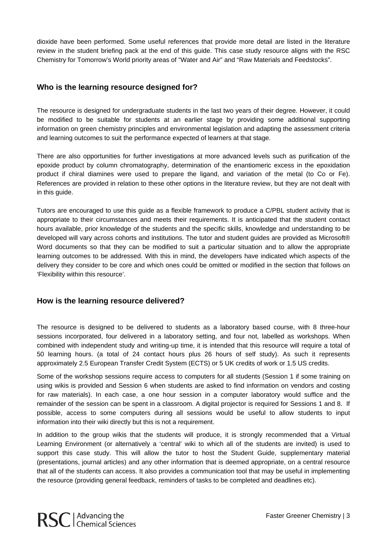dioxide have been performed. Some useful references that provide more detail are listed in the literature review in the student briefing pack at the end of this guide. This case study resource aligns with the RSC Chemistry for Tomorrow's World priority areas of "Water and Air" and "Raw Materials and Feedstocks".

#### **Who is the learning resource designed for?**

The resource is designed for undergraduate students in the last two years of their degree. However, it could be modified to be suitable for students at an earlier stage by providing some additional supporting information on green chemistry principles and environmental legislation and adapting the assessment criteria and learning outcomes to suit the performance expected of learners at that stage.

There are also opportunities for further investigations at more advanced levels such as purification of the epoxide product by column chromatography, determination of the enantiomeric excess in the epoxidation product if chiral diamines were used to prepare the ligand, and variation of the metal (to Co or Fe). References are provided in relation to these other options in the literature review, but they are not dealt with in this guide.

Tutors are encouraged to use this guide as a flexible framework to produce a C/PBL student activity that is appropriate to their circumstances and meets their requirements. It is anticipated that the student contact hours available, prior knowledge of the students and the specific skills, knowledge and understanding to be developed will vary across cohorts and institutions. The tutor and student guides are provided as Microsoft® Word documents so that they can be modified to suit a particular situation and to allow the appropriate learning outcomes to be addressed. With this in mind, the developers have indicated which aspects of the delivery they consider to be core and which ones could be omitted or modified in the section that follows on 'Flexibility within this resource'.

#### **How is the learning resource delivered?**

The resource is designed to be delivered to students as a laboratory based course, with 8 three-hour sessions incorporated, four delivered in a laboratory setting, and four not, labelled as workshops. When combined with independent study and writing-up time, it is intended that this resource will require a total of 50 learning hours. (a total of 24 contact hours plus 26 hours of self study). As such it represents approximately 2.5 European Transfer Credit System (ECTS) or 5 UK credits of work or 1.5 US credits.

Some of the workshop sessions require access to computers for all students (Session 1 if some training on using wikis is provided and Session 6 when students are asked to find information on vendors and costing for raw materials). In each case, a one hour session in a computer laboratory would suffice and the remainder of the session can be spent in a classroom. A digital projector is required for Sessions 1 and 8. If possible, access to some computers during all sessions would be useful to allow students to input information into their wiki directly but this is not a requirement.

In addition to the group wikis that the students will produce, it is strongly recommended that a Virtual Learning Environment (or alternatively a 'central' wiki to which all of the students are invited) is used to support this case study. This will allow the tutor to host the Student Guide, supplementary material (presentations, journal articles) and any other information that is deemed appropriate, on a central resource that all of the students can access. It also provides a communication tool that may be useful in implementing the resource (providing general feedback, reminders of tasks to be completed and deadlines etc).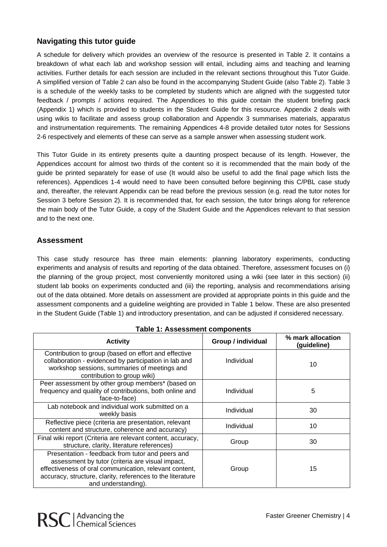## **Navigating this tutor guide**

A schedule for delivery which provides an overview of the resource is presented in Table 2. It contains a breakdown of what each lab and workshop session will entail, including aims and teaching and learning activities. Further details for each session are included in the relevant sections throughout this Tutor Guide. A simplified version of Table 2 can also be found in the accompanying Student Guide (also Table 2). Table 3 is a schedule of the weekly tasks to be completed by students which are aligned with the suggested tutor feedback / prompts / actions required. The Appendices to this guide contain the student briefing pack (Appendix 1) which is provided to students in the Student Guide for this resource. Appendix 2 deals with using wikis to facilitate and assess group collaboration and Appendix 3 summarises materials, apparatus and instrumentation requirements. The remaining Appendices 4-8 provide detailed tutor notes for Sessions 2-6 respectively and elements of these can serve as a sample answer when assessing student work.

This Tutor Guide in its entirety presents quite a daunting prospect because of its length. However, the Appendices account for almost two thirds of the content so it is recommended that the main body of the guide be printed separately for ease of use (It would also be useful to add the final page which lists the references). Appendices 1-4 would need to have been consulted before beginning this C/PBL case study and, thereafter, the relevant Appendix can be read before the previous session (e.g. read the tutor notes for Session 3 before Session 2). It is recommended that, for each session, the tutor brings along for reference the main body of the Tutor Guide, a copy of the Student Guide and the Appendices relevant to that session and to the next one.

### **Assessment**

This case study resource has three main elements: planning laboratory experiments, conducting experiments and analysis of results and reporting of the data obtained. Therefore, assessment focuses on (i) the planning of the group project, most conveniently monitored using a wiki (see later in this section) (ii) student lab books on experiments conducted and (iii) the reporting, analysis and recommendations arising out of the data obtained. More details on assessment are provided at appropriate points in this guide and the assessment components and a guideline weighting are provided in Table 1 below. These are also presented in the Student Guide (Table 1) and introductory presentation, and can be adjusted if considered necessary.

| <b>Activity</b>                                                                                                                                                                                                                                              | Group / individual | % mark allocation<br>(guideline) |
|--------------------------------------------------------------------------------------------------------------------------------------------------------------------------------------------------------------------------------------------------------------|--------------------|----------------------------------|
| Contribution to group (based on effort and effective<br>collaboration - evidenced by participation in lab and<br>workshop sessions, summaries of meetings and<br>contribution to group wiki)                                                                 | Individual         | 10                               |
| Peer assessment by other group members* (based on<br>frequency and quality of contributions, both online and<br>face-to-face)                                                                                                                                | Individual         | 5                                |
| Lab notebook and individual work submitted on a<br>weekly basis                                                                                                                                                                                              | Individual         | 30                               |
| Reflective piece (criteria are presentation, relevant<br>content and structure, coherence and accuracy)                                                                                                                                                      | Individual         | 10                               |
| Final wiki report (Criteria are relevant content, accuracy,<br>structure, clarity, literature references)                                                                                                                                                    | Group              | 30                               |
| Presentation - feedback from tutor and peers and<br>assessment by tutor (criteria are visual impact,<br>effectiveness of oral communication, relevant content,<br>Group<br>accuracy, structure, clarity, references to the literature<br>and understanding). |                    | 15                               |

**Table 1: Assessment components**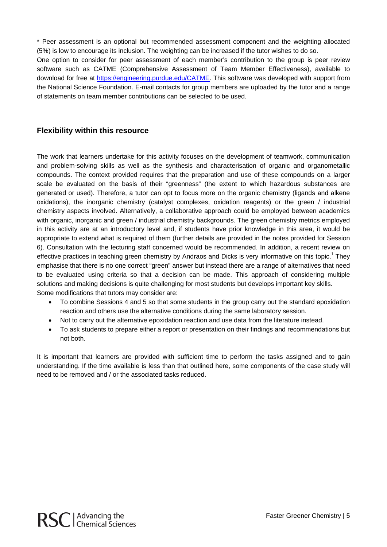\* Peer assessment is an optional but recommended assessment component and the weighting allocated (5%) is low to encourage its inclusion. The weighting can be increased if the tutor wishes to do so.

One option to consider for peer assessment of each member's contribution to the group is peer review software such as CATME (Comprehensive Assessment of Team Member Effectiveness), available to download for free at https://engineering.purdue.edu/CATME. This software was developed with support from the National Science Foundation. E-mail contacts for group members are uploaded by the tutor and a range of statements on team member contributions can be selected to be used.

#### **Flexibility within this resource**

The work that learners undertake for this activity focuses on the development of teamwork, communication and problem-solving skills as well as the synthesis and characterisation of organic and organometallic compounds. The context provided requires that the preparation and use of these compounds on a larger scale be evaluated on the basis of their "greenness" (the extent to which hazardous substances are generated or used). Therefore, a tutor can opt to focus more on the organic chemistry (ligands and alkene oxidations), the inorganic chemistry (catalyst complexes, oxidation reagents) or the green / industrial chemistry aspects involved. Alternatively, a collaborative approach could be employed between academics with organic, inorganic and green / industrial chemistry backgrounds. The green chemistry metrics employed in this activity are at an introductory level and, if students have prior knowledge in this area, it would be appropriate to extend what is required of them (further details are provided in the notes provided for Session 6). Consultation with the lecturing staff concerned would be recommended. In addition, a recent review on effective practices in teaching green chemistry by Andraos and Dicks is very informative on this topic.<sup>1</sup> They emphasise that there is no one correct "green" answer but instead there are a range of alternatives that need to be evaluated using criteria so that a decision can be made. This approach of considering multiple solutions and making decisions is quite challenging for most students but develops important key skills. Some modifications that tutors may consider are:

- To combine Sessions 4 and 5 so that some students in the group carry out the standard epoxidation reaction and others use the alternative conditions during the same laboratory session.
- Not to carry out the alternative epoxidation reaction and use data from the literature instead.
- To ask students to prepare either a report or presentation on their findings and recommendations but not both.

It is important that learners are provided with sufficient time to perform the tasks assigned and to gain understanding. If the time available is less than that outlined here, some components of the case study will need to be removed and / or the associated tasks reduced.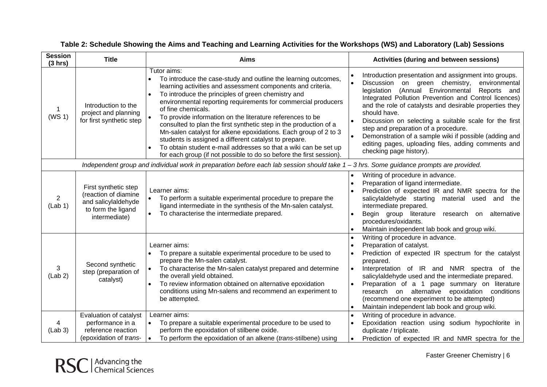| <b>Session</b><br>(3 hrs)                                                                                                                 | <b>Title</b>                                                                                               | <b>Aims</b>                                                                                                                                                                                                                                                                                                                                                                                                                                                                                                                                                                                                                                                                                       | <b>Activities (during and between sessions)</b>                                                                                                                                                                                                                                                                                                                                                                                                                                                                                                                             |
|-------------------------------------------------------------------------------------------------------------------------------------------|------------------------------------------------------------------------------------------------------------|---------------------------------------------------------------------------------------------------------------------------------------------------------------------------------------------------------------------------------------------------------------------------------------------------------------------------------------------------------------------------------------------------------------------------------------------------------------------------------------------------------------------------------------------------------------------------------------------------------------------------------------------------------------------------------------------------|-----------------------------------------------------------------------------------------------------------------------------------------------------------------------------------------------------------------------------------------------------------------------------------------------------------------------------------------------------------------------------------------------------------------------------------------------------------------------------------------------------------------------------------------------------------------------------|
| (WS 1)                                                                                                                                    | Introduction to the<br>project and planning<br>for first synthetic step                                    | Tutor aims:<br>To introduce the case-study and outline the learning outcomes,<br>learning activities and assessment components and criteria.<br>To introduce the principles of green chemistry and<br>environmental reporting requirements for commercial producers<br>of fine chemicals.<br>To provide information on the literature references to be<br>consulted to plan the first synthetic step in the production of a<br>Mn-salen catalyst for alkene epoxidations. Each group of 2 to 3<br>students is assigned a different catalyst to prepare.<br>To obtain student e-mail addresses so that a wiki can be set up<br>for each group (if not possible to do so before the first session). | Introduction presentation and assignment into groups.<br>$\bullet$<br>$\bullet$<br>Discussion on green chemistry,<br>environmental<br>(Annual Environmental<br>Reports and<br>legislation<br>Integrated Pollution Prevention and Control licences)<br>and the role of catalysts and desirable properties they<br>should have.<br>Discussion on selecting a suitable scale for the first<br>step and preparation of a procedure.<br>Demonstration of a sample wiki if possible (adding and<br>editing pages, uploading files, adding comments and<br>checking page history). |
| Independent group and individual work in preparation before each lab session should take $1 - 3$ hrs. Some guidance prompts are provided. |                                                                                                            |                                                                                                                                                                                                                                                                                                                                                                                                                                                                                                                                                                                                                                                                                                   |                                                                                                                                                                                                                                                                                                                                                                                                                                                                                                                                                                             |
| $\mathbf{2}^{\prime}$<br>(Lab 1)                                                                                                          | First synthetic step<br>(reaction of diamine<br>and salicylaldehyde<br>to form the ligand<br>intermediate) | Learner aims:<br>To perform a suitable experimental procedure to prepare the<br>ligand intermediate in the synthesis of the Mn-salen catalyst.<br>To characterise the intermediate prepared.                                                                                                                                                                                                                                                                                                                                                                                                                                                                                                      | Writing of procedure in advance.<br>$\bullet$<br>Preparation of ligand intermediate.<br>$\bullet$<br>Prediction of expected IR and NMR spectra for the<br>salicylaldehyde starting material used and the<br>intermediate prepared.<br>Begin group literature research on alternative<br>procedures/oxidants.<br>Maintain independent lab book and group wiki.                                                                                                                                                                                                               |
| 3<br>(Lab 2)                                                                                                                              | Second synthetic<br>step (preparation of<br>catalyst)                                                      | Learner aims:<br>To prepare a suitable experimental procedure to be used to<br>prepare the Mn-salen catalyst.<br>To characterise the Mn-salen catalyst prepared and determine<br>the overall yield obtained.<br>To review information obtained on alternative epoxidation<br>conditions using Mn-salens and recommend an experiment to<br>be attempted.                                                                                                                                                                                                                                                                                                                                           | Writing of procedure in advance.<br>$\bullet$<br>Preparation of catalyst.<br>$\bullet$<br>Prediction of expected IR spectrum for the catalyst<br>prepared.<br>Interpretation of IR and NMR spectra of the<br>$\bullet$<br>salicylaldehyde used and the intermediate prepared.<br>Preparation of a 1 page summary on literature<br>research on alternative epoxidation conditions<br>(recommend one experiment to be attempted)<br>Maintain independent lab book and group wiki.<br>$\bullet$                                                                                |
| (Lab 3)                                                                                                                                   | Evaluation of catalyst<br>performance in a<br>reference reaction<br>(epoxidation of trans-                 | Learner aims:<br>To prepare a suitable experimental procedure to be used to<br>perform the epoxidation of stilbene oxide.<br>To perform the epoxidation of an alkene (trans-stilbene) using                                                                                                                                                                                                                                                                                                                                                                                                                                                                                                       | Writing of procedure in advance.<br>$\bullet$<br>Epoxidation reaction using sodium hypochlorite in<br>duplicate / triplicate.<br>Prediction of expected IR and NMR spectra for the<br>$\bullet$                                                                                                                                                                                                                                                                                                                                                                             |

### **Table 2: Schedule Showing the Aims and Teaching and Learning Activities for the Workshops (WS) and Laboratory (Lab) Sessions**



Faster Greener Chemistry | 6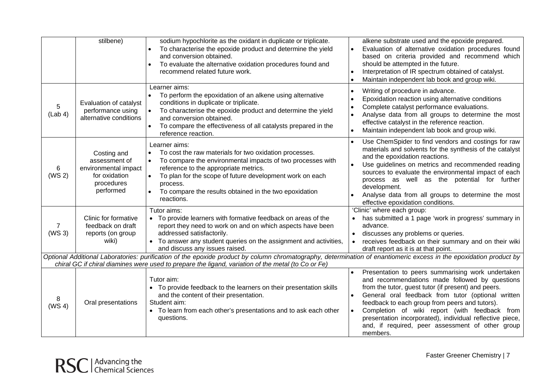|                         | stilbene)                                                                                        | sodium hypochlorite as the oxidant in duplicate or triplicate.<br>To characterise the epoxide product and determine the yield<br>and conversion obtained.<br>To evaluate the alternative oxidation procedures found and<br>recommend related future work.                                                                                                                                                                                            | alkene substrate used and the epoxide prepared.<br>Evaluation of alternative oxidation procedures found<br>$\bullet$<br>based on criteria provided and recommend which<br>should be attempted in the future.<br>Interpretation of IR spectrum obtained of catalyst.<br>$\bullet$<br>Maintain independent lab book and group wiki.                                                                                         |
|-------------------------|--------------------------------------------------------------------------------------------------|------------------------------------------------------------------------------------------------------------------------------------------------------------------------------------------------------------------------------------------------------------------------------------------------------------------------------------------------------------------------------------------------------------------------------------------------------|---------------------------------------------------------------------------------------------------------------------------------------------------------------------------------------------------------------------------------------------------------------------------------------------------------------------------------------------------------------------------------------------------------------------------|
| 5<br>(Lab 4)            | Evaluation of catalyst<br>performance using<br>alternative conditions                            | Learner aims:<br>To perform the epoxidation of an alkene using alternative<br>conditions in duplicate or triplicate.<br>To characterise the epoxide product and determine the yield<br>$\bullet$<br>and conversion obtained.<br>To compare the effectiveness of all catalysts prepared in the<br>reference reaction.                                                                                                                                 | Writing of procedure in advance.<br>$\bullet$<br>Epoxidation reaction using alternative conditions<br>$\bullet$<br>Complete catalyst performance evaluations.<br>$\bullet$<br>Analyse data from all groups to determine the most<br>$\bullet$<br>effective catalyst in the reference reaction.<br>Maintain independent lab book and group wiki.<br>$\bullet$                                                              |
| 6<br>(WS <sub>2</sub> ) | Costing and<br>assessment of<br>environmental impact<br>for oxidation<br>procedures<br>performed | Learner aims:<br>To cost the raw materials for two oxidation processes.<br>To compare the environmental impacts of two processes with<br>reference to the appropriate metrics.<br>To plan for the scope of future development work on each<br>process.<br>To compare the results obtained in the two epoxidation<br>reactions.                                                                                                                       | Use ChemSpider to find vendors and costings for raw<br>materials and solvents for the synthesis of the catalyst<br>and the epoxidation reactions.<br>Use guidelines on metrics and recommended reading<br>sources to evaluate the environmental impact of each<br>process as well as the potential for further<br>development.<br>Analyse data from all groups to determine the most<br>effective epoxidation conditions. |
| 7<br>(WS <sub>3</sub> ) | <b>Clinic for formative</b><br>feedback on draft<br>reports (on group<br>wiki)                   | Tutor aims:<br>• To provide learners with formative feedback on areas of the<br>report they need to work on and on which aspects have been<br>addressed satisfactorily.<br>• To answer any student queries on the assignment and activities,<br>and discuss any issues raised.<br>Optional Additional Laboratories: purification of the epoxide product by column chromatography, determination of enantiomeric excess in the epoxidation product by | 'Clinic' where each group:<br>has submitted a 1 page 'work in progress' summary in<br>advance.<br>discusses any problems or queries.<br>$\bullet$<br>receives feedback on their summary and on their wiki<br>draft report as it is at that point.                                                                                                                                                                         |
|                         |                                                                                                  | chiral GC if chiral diamines were used to prepare the ligand, variation of the metal (to Co or Fe)<br>Tutor aim:                                                                                                                                                                                                                                                                                                                                     | Presentation to peers summarising work undertaken<br>$\bullet$<br>and recommendations made followed by questions                                                                                                                                                                                                                                                                                                          |
| 8<br>(WS 4)             | Oral presentations                                                                               | • To provide feedback to the learners on their presentation skills<br>and the content of their presentation.<br>Student aim:<br>• To learn from each other's presentations and to ask each other<br>questions.                                                                                                                                                                                                                                       | from the tutor, guest tutor (if present) and peers.<br>General oral feedback from tutor (optional written<br>feedback to each group from peers and tutors).<br>Completion of wiki report (with feedback from<br>$\bullet$<br>presentation incorporated), individual reflective piece,<br>and, if required, peer assessment of other group<br>members.                                                                     |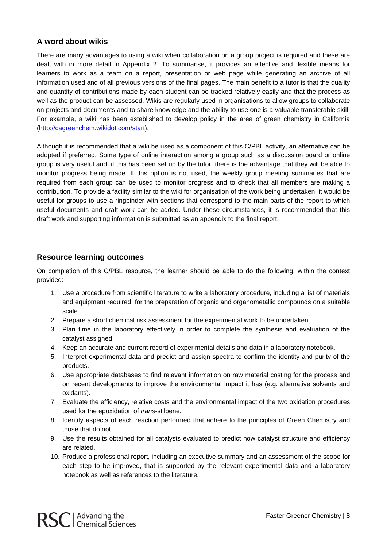#### **A word about wikis**

There are many advantages to using a wiki when collaboration on a group project is required and these are dealt with in more detail in Appendix 2. To summarise, it provides an effective and flexible means for learners to work as a team on a report, presentation or web page while generating an archive of all information used and of all previous versions of the final pages. The main benefit to a tutor is that the quality and quantity of contributions made by each student can be tracked relatively easily and that the process as well as the product can be assessed. Wikis are regularly used in organisations to allow groups to collaborate on projects and documents and to share knowledge and the ability to use one is a valuable transferable skill. For example, a wiki has been established to develop policy in the area of green chemistry in California (http://cagreenchem.wikidot.com/start).

Although it is recommended that a wiki be used as a component of this C/PBL activity, an alternative can be adopted if preferred. Some type of online interaction among a group such as a discussion board or online group is very useful and, if this has been set up by the tutor, there is the advantage that they will be able to monitor progress being made. If this option is not used, the weekly group meeting summaries that are required from each group can be used to monitor progress and to check that all members are making a contribution. To provide a facility similar to the wiki for organisation of the work being undertaken, it would be useful for groups to use a ringbinder with sections that correspond to the main parts of the report to which useful documents and draft work can be added. Under these circumstances, it is recommended that this draft work and supporting information is submitted as an appendix to the final report.

#### **Resource learning outcomes**

On completion of this C/PBL resource, the learner should be able to do the following, within the context provided:

- 1. Use a procedure from scientific literature to write a laboratory procedure, including a list of materials and equipment required, for the preparation of organic and organometallic compounds on a suitable scale.
- 2. Prepare a short chemical risk assessment for the experimental work to be undertaken.
- 3. Plan time in the laboratory effectively in order to complete the synthesis and evaluation of the catalyst assigned.
- 4. Keep an accurate and current record of experimental details and data in a laboratory notebook.
- 5. Interpret experimental data and predict and assign spectra to confirm the identity and purity of the products.
- 6. Use appropriate databases to find relevant information on raw material costing for the process and on recent developments to improve the environmental impact it has (e.g. alternative solvents and oxidants).
- 7. Evaluate the efficiency, relative costs and the environmental impact of the two oxidation procedures used for the epoxidation of *trans*-stilbene.
- 8. Identify aspects of each reaction performed that adhere to the principles of Green Chemistry and those that do not.
- 9. Use the results obtained for all catalysts evaluated to predict how catalyst structure and efficiency are related.
- 10. Produce a professional report, including an executive summary and an assessment of the scope for each step to be improved, that is supported by the relevant experimental data and a laboratory notebook as well as references to the literature.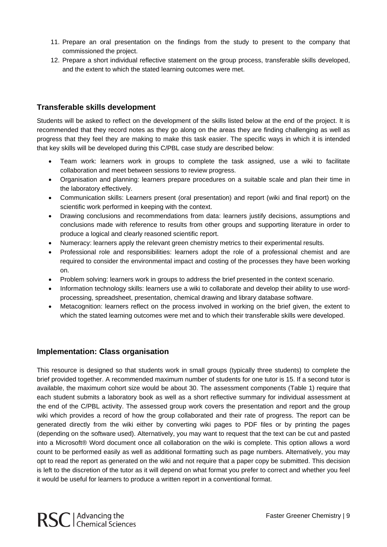- 11. Prepare an oral presentation on the findings from the study to present to the company that commissioned the project.
- 12. Prepare a short individual reflective statement on the group process, transferable skills developed, and the extent to which the stated learning outcomes were met.

#### **Transferable skills development**

Students will be asked to reflect on the development of the skills listed below at the end of the project. It is recommended that they record notes as they go along on the areas they are finding challenging as well as progress that they feel they are making to make this task easier. The specific ways in which it is intended that key skills will be developed during this C/PBL case study are described below:

- Team work: learners work in groups to complete the task assigned, use a wiki to facilitate collaboration and meet between sessions to review progress.
- Organisation and planning: learners prepare procedures on a suitable scale and plan their time in the laboratory effectively.
- Communication skills: Learners present (oral presentation) and report (wiki and final report) on the scientific work performed in keeping with the context.
- Drawing conclusions and recommendations from data: learners justify decisions, assumptions and conclusions made with reference to results from other groups and supporting literature in order to produce a logical and clearly reasoned scientific report.
- Numeracy: learners apply the relevant green chemistry metrics to their experimental results.
- Professional role and responsibilities: learners adopt the role of a professional chemist and are required to consider the environmental impact and costing of the processes they have been working on.
- Problem solving: learners work in groups to address the brief presented in the context scenario.
- Information technology skills: learners use a wiki to collaborate and develop their ability to use wordprocessing, spreadsheet, presentation, chemical drawing and library database software.
- Metacognition: learners reflect on the process involved in working on the brief given, the extent to which the stated learning outcomes were met and to which their transferable skills were developed.

#### **Implementation: Class organisation**

This resource is designed so that students work in small groups (typically three students) to complete the brief provided together. A recommended maximum number of students for one tutor is 15. If a second tutor is available, the maximum cohort size would be about 30. The assessment components (Table 1) require that each student submits a laboratory book as well as a short reflective summary for individual assessment at the end of the C/PBL activity. The assessed group work covers the presentation and report and the group wiki which provides a record of how the group collaborated and their rate of progress. The report can be generated directly from the wiki either by converting wiki pages to PDF files or by printing the pages (depending on the software used). Alternatively, you may want to request that the text can be cut and pasted into a Microsoft® Word document once all collaboration on the wiki is complete. This option allows a word count to be performed easily as well as additional formatting such as page numbers. Alternatively, you may opt to read the report as generated on the wiki and not require that a paper copy be submitted. This decision is left to the discretion of the tutor as it will depend on what format you prefer to correct and whether you feel it would be useful for learners to produce a written report in a conventional format.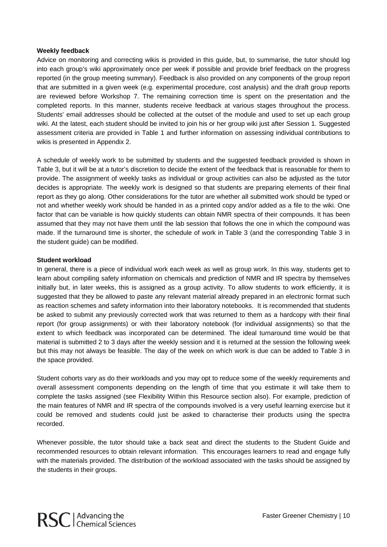#### **Weekly feedback**

Advice on monitoring and correcting wikis is provided in this guide, but, to summarise, the tutor should log into each group's wiki approximately once per week if possible and provide brief feedback on the progress reported (in the group meeting summary). Feedback is also provided on any components of the group report that are submitted in a given week (e.g. experimental procedure, cost analysis) and the draft group reports are reviewed before Workshop 7. The remaining correction time is spent on the presentation and the completed reports. In this manner, students receive feedback at various stages throughout the process. Students' email addresses should be collected at the outset of the module and used to set up each group wiki. At the latest, each student should be invited to join his or her group wiki just after Session 1. Suggested assessment criteria are provided in Table 1 and further information on assessing individual contributions to wikis is presented in Appendix 2.

A schedule of weekly work to be submitted by students and the suggested feedback provided is shown in Table 3, but it will be at a tutor's discretion to decide the extent of the feedback that is reasonable for them to provide. The assignment of weekly tasks as individual or group activities can also be adjusted as the tutor decides is appropriate. The weekly work is designed so that students are preparing elements of their final report as they go along. Other considerations for the tutor are whether all submitted work should be typed or not and whether weekly work should be handed in as a printed copy and/or added as a file to the wiki. One factor that can be variable is how quickly students can obtain NMR spectra of their compounds. It has been assumed that they may not have them until the lab session that follows the one in which the compound was made. If the turnaround time is shorter, the schedule of work in Table 3 (and the corresponding Table 3 in the student guide) can be modified.

#### **Student workload**

In general, there is a piece of individual work each week as well as group work. In this way, students get to learn about compiling safety information on chemicals and prediction of NMR and IR spectra by themselves initially but, in later weeks, this is assigned as a group activity. To allow students to work efficiently, it is suggested that they be allowed to paste any relevant material already prepared in an electronic format such as reaction schemes and safety information into their laboratory notebooks. It is recommended that students be asked to submit any previously corrected work that was returned to them as a hardcopy with their final report (for group assignments) or with their laboratory notebook (for individual assignments) so that the extent to which feedback was incorporated can be determined. The ideal turnaround time would be that material is submitted 2 to 3 days after the weekly session and it is returned at the session the following week but this may not always be feasible. The day of the week on which work is due can be added to Table 3 in the space provided.

Student cohorts vary as do their workloads and you may opt to reduce some of the weekly requirements and overall assessment components depending on the length of time that you estimate it will take them to complete the tasks assigned (see Flexibility Within this Resource section also). For example, prediction of the main features of NMR and IR spectra of the compounds involved is a very useful learning exercise but it could be removed and students could just be asked to characterise their products using the spectra recorded.

Whenever possible, the tutor should take a back seat and direct the students to the Student Guide and recommended resources to obtain relevant information. This encourages learners to read and engage fully with the materials provided. The distribution of the workload associated with the tasks should be assigned by the students in their groups.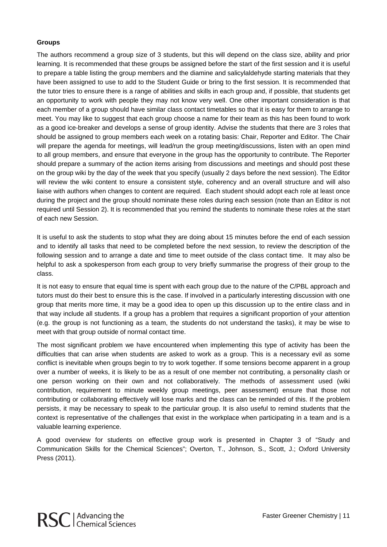#### **Groups**

The authors recommend a group size of 3 students, but this will depend on the class size, ability and prior learning. It is recommended that these groups be assigned before the start of the first session and it is useful to prepare a table listing the group members and the diamine and salicylaldehyde starting materials that they have been assigned to use to add to the Student Guide or bring to the first session. It is recommended that the tutor tries to ensure there is a range of abilities and skills in each group and, if possible, that students get an opportunity to work with people they may not know very well. One other important consideration is that each member of a group should have similar class contact timetables so that it is easy for them to arrange to meet. You may like to suggest that each group choose a name for their team as this has been found to work as a good ice-breaker and develops a sense of group identity. Advise the students that there are 3 roles that should be assigned to group members each week on a rotating basis: Chair, Reporter and Editor. The Chair will prepare the agenda for meetings, will lead/run the group meeting/discussions, listen with an open mind to all group members, and ensure that everyone in the group has the opportunity to contribute. The Reporter should prepare a summary of the action items arising from discussions and meetings and should post these on the group wiki by the day of the week that you specify (usually 2 days before the next session). The Editor will review the wiki content to ensure a consistent style, coherency and an overall structure and will also liaise with authors when changes to content are required. Each student should adopt each role at least once during the project and the group should nominate these roles during each session (note than an Editor is not required until Session 2). It is recommended that you remind the students to nominate these roles at the start of each new Session.

It is useful to ask the students to stop what they are doing about 15 minutes before the end of each session and to identify all tasks that need to be completed before the next session, to review the description of the following session and to arrange a date and time to meet outside of the class contact time. It may also be helpful to ask a spokesperson from each group to very briefly summarise the progress of their group to the class.

It is not easy to ensure that equal time is spent with each group due to the nature of the C/PBL approach and tutors must do their best to ensure this is the case. If involved in a particularly interesting discussion with one group that merits more time, it may be a good idea to open up this discussion up to the entire class and in that way include all students. If a group has a problem that requires a significant proportion of your attention (e.g. the group is not functioning as a team, the students do not understand the tasks), it may be wise to meet with that group outside of normal contact time.

The most significant problem we have encountered when implementing this type of activity has been the difficulties that can arise when students are asked to work as a group. This is a necessary evil as some conflict is inevitable when groups begin to try to work together. If some tensions become apparent in a group over a number of weeks, it is likely to be as a result of one member not contributing, a personality clash or one person working on their own and not collaboratively. The methods of assessment used (wiki contribution, requirement to minute weekly group meetings, peer assessment) ensure that those not contributing or collaborating effectively will lose marks and the class can be reminded of this. If the problem persists, it may be necessary to speak to the particular group. It is also useful to remind students that the context is representative of the challenges that exist in the workplace when participating in a team and is a valuable learning experience.

A good overview for students on effective group work is presented in Chapter 3 of "Study and Communication Skills for the Chemical Sciences"; Overton, T., Johnson, S., Scott, J.; Oxford University Press (2011).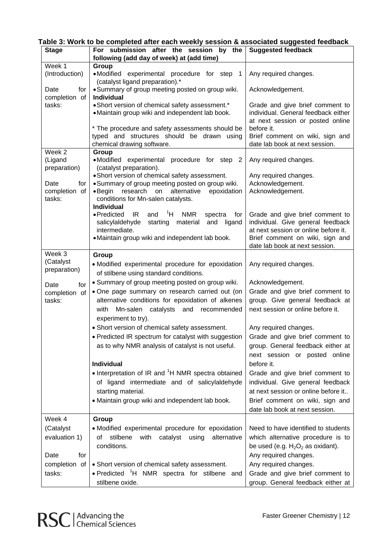| Table 3: Work to be completed after each weekly session & associated suggested feedback |  |  |
|-----------------------------------------------------------------------------------------|--|--|
|                                                                                         |  |  |

| <b>Stage</b>                        | For submission after the session by the<br>following (add day of week) at (add time)                                                                                                                       | <b>Suggested feedback</b>                                                                                                                                   |
|-------------------------------------|------------------------------------------------------------------------------------------------------------------------------------------------------------------------------------------------------------|-------------------------------------------------------------------------------------------------------------------------------------------------------------|
| Week 1                              | Group                                                                                                                                                                                                      |                                                                                                                                                             |
| (Introduction)                      | •Modified experimental procedure for step 1<br>(catalyst ligand preparation).*                                                                                                                             | Any required changes.                                                                                                                                       |
| Date<br>for                         | • Summary of group meeting posted on group wiki.<br>Individual                                                                                                                                             | Acknowledgement.                                                                                                                                            |
| completion of<br>tasks:             | • Short version of chemical safety assessment.*<br>• Maintain group wiki and independent lab book.<br>* The procedure and safety assessments should be<br>typed and structures should be drawn using       | Grade and give brief comment to<br>individual. General feedback either<br>at next session or posted online<br>before it.<br>Brief comment on wiki, sign and |
|                                     | chemical drawing software.                                                                                                                                                                                 | date lab book at next session.                                                                                                                              |
| Week 2                              | Group                                                                                                                                                                                                      |                                                                                                                                                             |
| (Ligand<br>preparation)             | •Modified experimental procedure for step 2<br>(catalyst preparation).                                                                                                                                     | Any required changes.                                                                                                                                       |
|                                     | • Short version of chemical safety assessment.                                                                                                                                                             | Any required changes.                                                                                                                                       |
| Date<br>for                         | · Summary of group meeting posted on group wiki.                                                                                                                                                           | Acknowledgement.                                                                                                                                            |
| completion of<br>tasks:             | research on<br>alternative<br>$\bullet$ Begin<br>epoxidation<br>conditions for Mn-salen catalysts.<br><b>Individual</b>                                                                                    | Acknowledgement.                                                                                                                                            |
|                                     | $\mathrm{^1H}$<br><b>NMR</b><br>• Predicted<br>IR<br>and<br>spectra<br>for<br>salicylaldehyde<br>starting<br>material<br>and<br>ligand<br>intermediate.<br>• Maintain group wiki and independent lab book. | Grade and give brief comment to<br>individual. Give general feedback<br>at next session or online before it.<br>Brief comment on wiki, sign and             |
|                                     |                                                                                                                                                                                                            | date lab book at next session.                                                                                                                              |
| Week 3<br>(Catalyst<br>preparation) | Group<br>• Modified experimental procedure for epoxidation<br>of stilbene using standard conditions.                                                                                                       | Any required changes.                                                                                                                                       |
| for<br>Date                         | • Summary of group meeting posted on group wiki.                                                                                                                                                           | Acknowledgement.                                                                                                                                            |
| completion of                       | . One page summary on research carried out (on                                                                                                                                                             | Grade and give brief comment to                                                                                                                             |
| tasks:                              | alternative conditions for epoxidation of alkenes<br>catalysts and recommended<br>with<br>Mn-salen                                                                                                         | group. Give general feedback at<br>next session or online before it.                                                                                        |
|                                     | experiment to try).                                                                                                                                                                                        |                                                                                                                                                             |
|                                     | • Short version of chemical safety assessment.                                                                                                                                                             | Any required changes.                                                                                                                                       |
|                                     | • Predicted IR spectrum for catalyst with suggestion<br>as to why NMR analysis of catalyst is not useful.                                                                                                  | Grade and give brief comment to<br>group. General feedback either at                                                                                        |
|                                     | <b>Individual</b>                                                                                                                                                                                          | next session or posted online<br>before it.                                                                                                                 |
|                                     | • Interpretation of IR and <sup>1</sup> H NMR spectra obtained                                                                                                                                             |                                                                                                                                                             |
|                                     | of ligand intermediate and of salicylaldehyde                                                                                                                                                              | Grade and give brief comment to<br>individual. Give general feedback                                                                                        |
|                                     | starting material.                                                                                                                                                                                         | at next session or online before it                                                                                                                         |
|                                     | • Maintain group wiki and independent lab book.                                                                                                                                                            | Brief comment on wiki, sign and                                                                                                                             |
|                                     |                                                                                                                                                                                                            | date lab book at next session.                                                                                                                              |
| Week 4                              | Group                                                                                                                                                                                                      |                                                                                                                                                             |
| (Catalyst                           | • Modified experimental procedure for epoxidation                                                                                                                                                          | Need to have identified to students                                                                                                                         |
| evaluation 1)                       | stilbene<br>with catalyst using<br>alternative<br>of<br>conditions.                                                                                                                                        | which alternative procedure is to<br>be used (e.g. $H_2O_2$ as oxidant).                                                                                    |
| Date<br>for                         |                                                                                                                                                                                                            | Any required changes.                                                                                                                                       |
| completion of                       | • Short version of chemical safety assessment.                                                                                                                                                             | Any required changes.                                                                                                                                       |
| tasks:                              | • Predicted <sup>1</sup> H NMR spectra for stilbene and<br>stilbene oxide.                                                                                                                                 | Grade and give brief comment to<br>group. General feedback either at                                                                                        |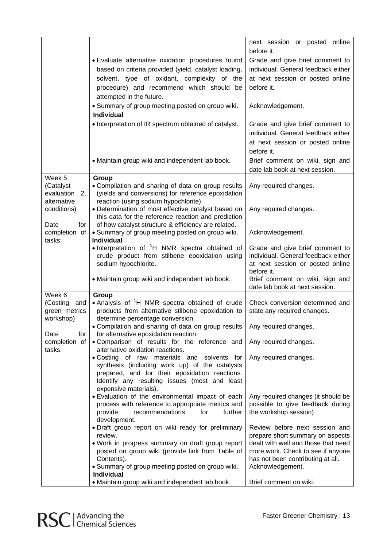|                         |                                                                                                                     | next session or posted online                                          |
|-------------------------|---------------------------------------------------------------------------------------------------------------------|------------------------------------------------------------------------|
|                         |                                                                                                                     | before it.                                                             |
|                         | · Evaluate alternative oxidation procedures found                                                                   | Grade and give brief comment to                                        |
|                         | based on criteria provided (yield, catalyst loading,                                                                | individual. General feedback either                                    |
|                         | solvent, type of oxidant, complexity of the                                                                         | at next session or posted online                                       |
|                         | procedure) and recommend which should be                                                                            | before it.                                                             |
|                         | attempted in the future.                                                                                            |                                                                        |
|                         | • Summary of group meeting posted on group wiki.<br>Individual                                                      | Acknowledgement.                                                       |
|                         | • Interpretation of IR spectrum obtained of catalyst.                                                               | Grade and give brief comment to                                        |
|                         |                                                                                                                     | individual. General feedback either                                    |
|                         |                                                                                                                     | at next session or posted online                                       |
|                         |                                                                                                                     | before it.                                                             |
|                         | • Maintain group wiki and independent lab book.                                                                     | Brief comment on wiki, sign and                                        |
|                         |                                                                                                                     | date lab book at next session.                                         |
| Week 5<br>(Catalyst     | Group<br>• Compilation and sharing of data on group results                                                         | Any required changes.                                                  |
| evaluation<br>2,        | (yields and conversions) for reference epoxidation                                                                  |                                                                        |
| alternative             | reaction (using sodium hypochlorite).                                                                               |                                                                        |
| conditions)             | • Determination of most effective catalyst based on                                                                 | Any required changes.                                                  |
| Date<br>for             | this data for the reference reaction and prediction<br>of how catalyst structure & efficiency are related.          |                                                                        |
| completion of           | • Summary of group meeting posted on group wiki.                                                                    | Acknowledgement.                                                       |
| tasks:                  | <b>Individual</b>                                                                                                   |                                                                        |
|                         | • Interpretation of <sup>1</sup> H NMR spectra obtained of                                                          | Grade and give brief comment to<br>individual. General feedback either |
|                         | crude product from stilbene epoxidation using<br>sodium hypochlorite.                                               | at next session or posted online                                       |
|                         |                                                                                                                     | before it.                                                             |
|                         | • Maintain group wiki and independent lab book.                                                                     | Brief comment on wiki, sign and                                        |
| Week 6                  | Group                                                                                                               | date lab book at next session.                                         |
| (Costing and            | • Analysis of <sup>1</sup> H NMR spectra obtained of crude                                                          | Check conversion determined and                                        |
| green metrics           | products from alternative stilbene epoxidation to                                                                   | state any required changes.                                            |
| workshop)               | determine percentage conversion.                                                                                    |                                                                        |
| Date<br>for             | • Compilation and sharing of data on group results   Any required changes.<br>for alternative epoxidation reaction. |                                                                        |
| completion of<br>tasks: | . Comparison of results for the reference and<br>alternative oxidation reactions.                                   | Any required changes.                                                  |
|                         | . Costing of raw materials and solvents for                                                                         | Any required changes.                                                  |
|                         | synthesis (including work up) of the catalysts                                                                      |                                                                        |
|                         | prepared, and for their epoxidation reactions.                                                                      |                                                                        |
|                         | Identify any resulting issues (most and least<br>expensive materials).                                              |                                                                        |
|                         | • Evaluation of the environmental impact of each                                                                    | Any required changes (it should be                                     |
|                         | process with reference to appropriate metrics and                                                                   | possible to give feedback during                                       |
|                         | further<br>provide<br>recommendations<br>for                                                                        | the workshop session)                                                  |
|                         | development.<br>· Draft group report on wiki ready for preliminary                                                  | Review before next session and                                         |
|                         | review.                                                                                                             | prepare short summary on aspects                                       |
|                         | . Work in progress summary on draft group report                                                                    | dealt with well and those that need                                    |
|                         | posted on group wiki (provide link from Table of                                                                    | more work. Check to see if anyone                                      |
|                         | Contents).<br>• Summary of group meeting posted on group wiki.                                                      | has not been contributing at all.<br>Acknowledgement.                  |
|                         | <b>Individual</b>                                                                                                   |                                                                        |
|                         | • Maintain group wiki and independent lab book.                                                                     | Brief comment on wiki.                                                 |